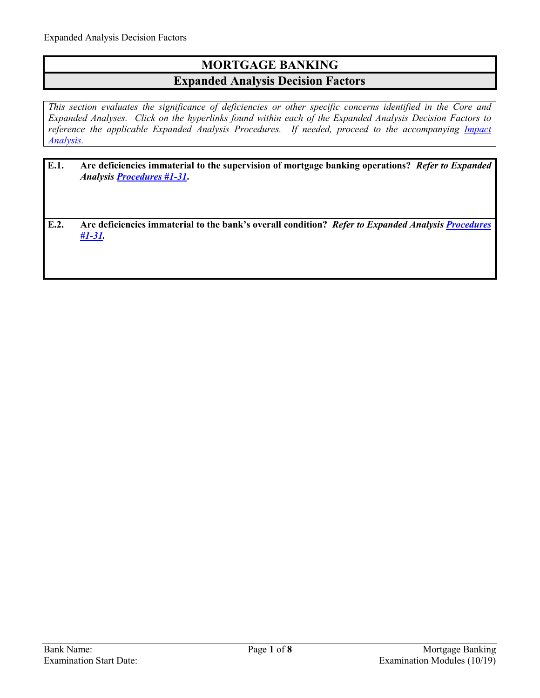## **MORTGAGE BANKING Expanded Analysis Decision Factors**

*This section evaluates the significance of deficiencies or other specific concerns identified in the Core and Expanded Analyses. Click on the hyperlinks found within each of the Expanded Analysis Decision Factors to reference the applicable Expanded Analysis Procedures. If needed, proceed to the accompanying Impact [Analysis.](#page-7-0)* 

- **E.1. Are deficiencies immaterial to the supervision of mortgage banking operations?** *Refer to Expanded Analysis [Procedures #1-31](#page-1-0)***.**
- **E.2. Are deficiencies immaterial to the bank's overall condition?** *Refer to Expanded Analysis [Procedures](#page-1-0)  [#1-31.](#page-1-0)*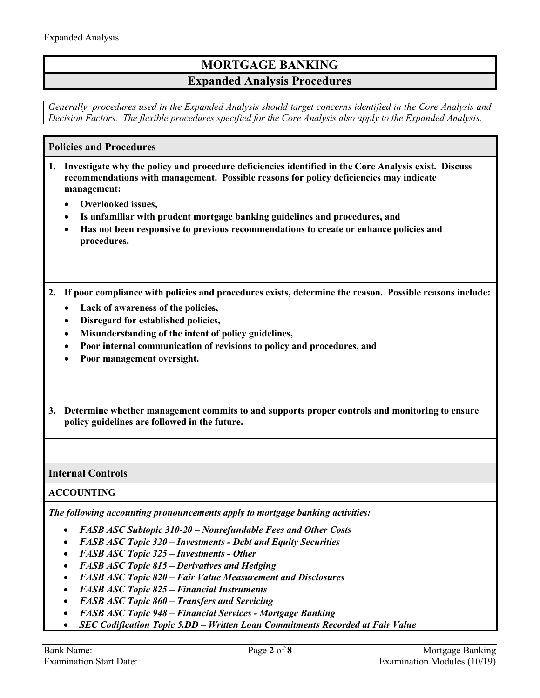## **MORTGAGE BANKING Expanded Analysis Procedures**

*Generally, procedures used in the Expanded Analysis should target concerns identified in the Core Analysis and Decision Factors. The flexible procedures specified for the Core Analysis also apply to the Expanded Analysis.*

## <span id="page-1-0"></span>**Policies and Procedures**

- **1. Investigate why the policy and procedure deficiencies identified in the Core Analysis exist. Discuss recommendations with management. Possible reasons for policy deficiencies may indicate management:** 
	- **Overlooked issues,**
	- **Is unfamiliar with prudent mortgage banking guidelines and procedures, and**
	- **Has not been responsive to previous recommendations to create or enhance policies and procedures.**
- **2. If poor compliance with policies and procedures exists, determine the reason. Possible reasons include:** 
	- **Lack of awareness of the policies,**
	- **Disregard for established policies,**
	- **Misunderstanding of the intent of policy guidelines,**
	- **Poor internal communication of revisions to policy and procedures, and**
	- **Poor management oversight.**
- **3. Determine whether management commits to and supports proper controls and monitoring to ensure policy guidelines are followed in the future.**

**Internal Controls**

**ACCOUNTING**

*The following accounting pronouncements apply to mortgage banking activities:* 

- *FASB ASC Subtopic 310-20 Nonrefundable Fees and Other Costs*
- *FASB ASC Topic 320 Investments Debt and Equity Securities*
- *FASB ASC Topic 325 Investments Other*
- *FASB ASC Topic 815 Derivatives and Hedging*
- *FASB ASC Topic 820 Fair Value Measurement and Disclosures*
- *FASB ASC Topic 825 Financial Instruments*
- *FASB ASC Topic 860 Transfers and Servicing*
- *FASB ASC Topic 948 Financial Services Mortgage Banking*
- *SEC Codification Topic 5.DD Written Loan Commitments Recorded at Fair Value*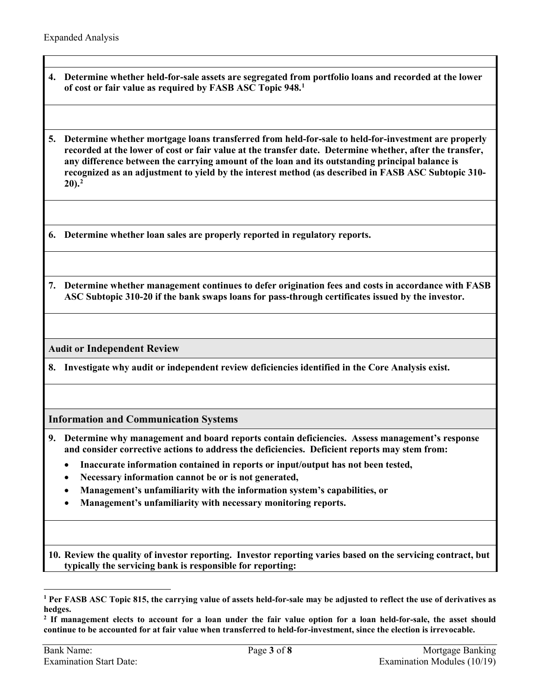**4. Determine whether held-for-sale assets are segregated from portfolio loans and recorded at the lower of cost or fair value as required by FASB ASC Topic 948. [1](#page-2-0)** 

**5. Determine whether mortgage loans transferred from held-for-sale to held-for-investment are properly recorded at the lower of cost or fair value at the transfer date. Determine whether, after the transfer, any difference between the carrying amount of the loan and its outstanding principal balance is recognized as an adjustment to yield by the interest method (as described in FASB ASC Subtopic 310- 20).[2](#page-2-1)** 

**6. Determine whether loan sales are properly reported in regulatory reports.**

**7. Determine whether management continues to defer origination fees and costs in accordance with FASB ASC Subtopic 310-20 if the bank swaps loans for pass-through certificates issued by the investor.** 

**Audit or Independent Review**

**8. Investigate why audit or independent review deficiencies identified in the Core Analysis exist.**

**Information and Communication Systems** 

- **9. Determine why management and board reports contain deficiencies. Assess management's response and consider corrective actions to address the deficiencies. Deficient reports may stem from:**
	- **Inaccurate information contained in reports or input/output has not been tested,**
	- **Necessary information cannot be or is not generated,**
	- **Management's unfamiliarity with the information system's capabilities, or**
	- **Management's unfamiliarity with necessary monitoring reports.**

**10. Review the quality of investor reporting. Investor reporting varies based on the servicing contract, but typically the servicing bank is responsible for reporting:** 

 $\overline{a}$ 

<span id="page-2-0"></span>**<sup>1</sup> Per FASB ASC Topic 815, the carrying value of assets held-for-sale may be adjusted to reflect the use of derivatives as hedges.** 

<span id="page-2-1"></span>**<sup>2</sup> If management elects to account for a loan under the fair value option for a loan held-for-sale, the asset should continue to be accounted for at fair value when transferred to held-for-investment, since the election is irrevocable.**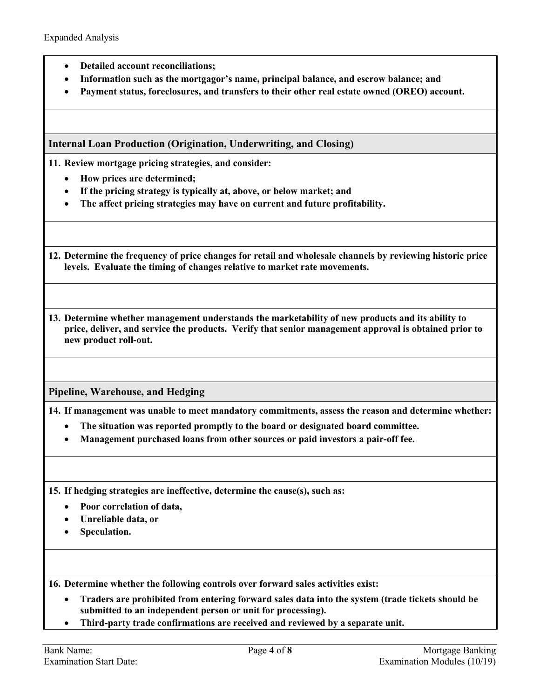- **Detailed account reconciliations;**
- **Information such as the mortgagor's name, principal balance, and escrow balance; and**
- **Payment status, foreclosures, and transfers to their other real estate owned (OREO) account.**

**Internal Loan Production (Origination, Underwriting, and Closing)** 

**11. Review mortgage pricing strategies, and consider:** 

- **How prices are determined;**
- **If the pricing strategy is typically at, above, or below market; and**
- **The affect pricing strategies may have on current and future profitability.**

**12. Determine the frequency of price changes for retail and wholesale channels by reviewing historic price levels. Evaluate the timing of changes relative to market rate movements.**

**13. Determine whether management understands the marketability of new products and its ability to price, deliver, and service the products. Verify that senior management approval is obtained prior to new product roll-out.** 

**Pipeline, Warehouse, and Hedging**

**14. If management was unable to meet mandatory commitments, assess the reason and determine whether:** 

- **The situation was reported promptly to the board or designated board committee.**
- **Management purchased loans from other sources or paid investors a pair-off fee.**

**15. If hedging strategies are ineffective, determine the cause(s), such as:** 

- **Poor correlation of data,**
- **Unreliable data, or**
- **Speculation.**

**16. Determine whether the following controls over forward sales activities exist:**

- **Traders are prohibited from entering forward sales data into the system (trade tickets should be submitted to an independent person or unit for processing).**
- **Third-party trade confirmations are received and reviewed by a separate unit.**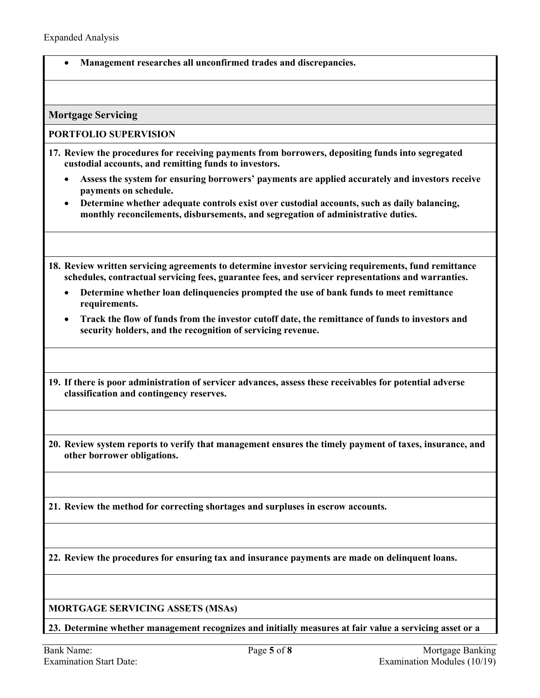• **Management researches all unconfirmed trades and discrepancies.**

**Mortgage Servicing**

#### **PORTFOLIO SUPERVISION**

- **17. Review the procedures for receiving payments from borrowers, depositing funds into segregated custodial accounts, and remitting funds to investors.**
	- **Assess the system for ensuring borrowers' payments are applied accurately and investors receive payments on schedule.**
	- **Determine whether adequate controls exist over custodial accounts, such as daily balancing, monthly reconcilements, disbursements, and segregation of administrative duties.**
- **18. Review written servicing agreements to determine investor servicing requirements, fund remittance schedules, contractual servicing fees, guarantee fees, and servicer representations and warranties.**
	- **Determine whether loan delinquencies prompted the use of bank funds to meet remittance requirements.**
	- **Track the flow of funds from the investor cutoff date, the remittance of funds to investors and security holders, and the recognition of servicing revenue.**
- **19. If there is poor administration of servicer advances, assess these receivables for potential adverse classification and contingency reserves.**
- **20. Review system reports to verify that management ensures the timely payment of taxes, insurance, and other borrower obligations.**
- **21. Review the method for correcting shortages and surpluses in escrow accounts.**

**22. Review the procedures for ensuring tax and insurance payments are made on delinquent loans.** 

### **MORTGAGE SERVICING ASSETS (MSAs)**

**23. Determine whether management recognizes and initially measures at fair value a servicing asset or a**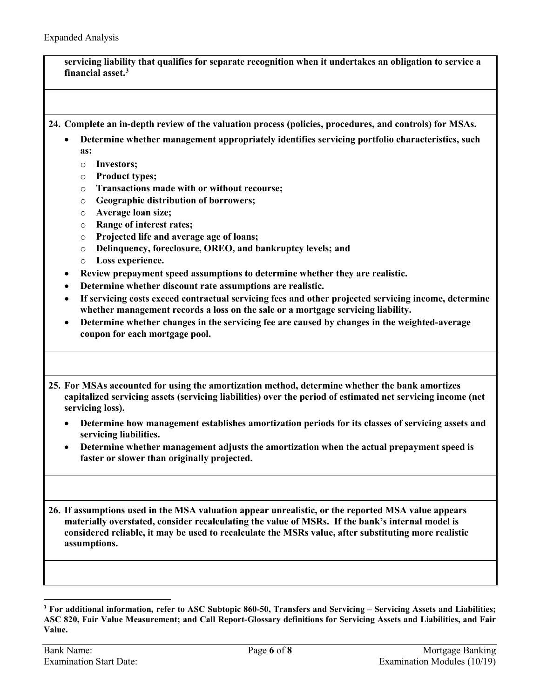**servicing liability that qualifies for separate recognition when it undertakes an obligation to service a financial asset. [3](#page-5-0)**

**24. Complete an in-depth review of the valuation process (policies, procedures, and controls) for MSAs.**

- **Determine whether management appropriately identifies servicing portfolio characteristics, such as:** 
	- o **Investors;**
	- o **Product types;**
	- o **Transactions made with or without recourse;**
	- o **Geographic distribution of borrowers;**
	- o **Average loan size;**
	- o **Range of interest rates;**
	- o **Projected life and average age of loans;**
	- o **Delinquency, foreclosure, OREO, and bankruptcy levels; and**
	- o **Loss experience.**
- **Review prepayment speed assumptions to determine whether they are realistic.**
- **Determine whether discount rate assumptions are realistic.**
- **If servicing costs exceed contractual servicing fees and other projected servicing income, determine whether management records a loss on the sale or a mortgage servicing liability.**
- **Determine whether changes in the servicing fee are caused by changes in the weighted-average coupon for each mortgage pool.**

**25. For MSAs accounted for using the amortization method, determine whether the bank amortizes capitalized servicing assets (servicing liabilities) over the period of estimated net servicing income (net servicing loss).** 

- **Determine how management establishes amortization periods for its classes of servicing assets and servicing liabilities.**
- **Determine whether management adjusts the amortization when the actual prepayment speed is faster or slower than originally projected.**

**26. If assumptions used in the MSA valuation appear unrealistic, or the reported MSA value appears materially overstated, consider recalculating the value of MSRs. If the bank's internal model is considered reliable, it may be used to recalculate the MSRs value, after substituting more realistic assumptions.**

 $\overline{a}$ 

<span id="page-5-0"></span>**<sup>3</sup> For additional information, refer to ASC Subtopic 860-50, Transfers and Servicing – Servicing Assets and Liabilities; ASC 820, Fair Value Measurement; and Call Report-Glossary definitions for Servicing Assets and Liabilities, and Fair Value.**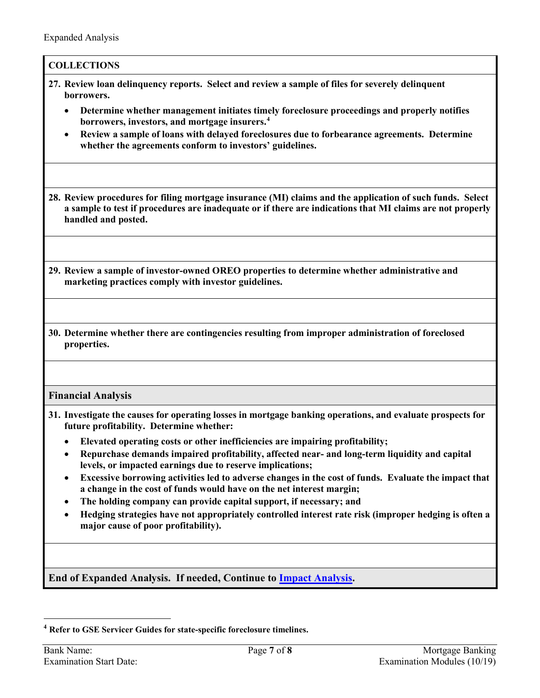| <b>COLLECTIONS</b>                                                                                                                                                                                                                                       |
|----------------------------------------------------------------------------------------------------------------------------------------------------------------------------------------------------------------------------------------------------------|
| 27. Review loan delinquency reports. Select and review a sample of files for severely delinquent<br>borrowers.                                                                                                                                           |
| Determine whether management initiates timely foreclosure proceedings and properly notifies<br>٠<br>borrowers, investors, and mortgage insurers. <sup>4</sup>                                                                                            |
| Review a sample of loans with delayed foreclosures due to forbearance agreements. Determine<br>$\bullet$<br>whether the agreements conform to investors' guidelines.                                                                                     |
| 28. Review procedures for filing mortgage insurance (MI) claims and the application of such funds. Select<br>a sample to test if procedures are inadequate or if there are indications that MI claims are not properly<br>handled and posted.            |
|                                                                                                                                                                                                                                                          |
| 29. Review a sample of investor-owned OREO properties to determine whether administrative and<br>marketing practices comply with investor guidelines.                                                                                                    |
|                                                                                                                                                                                                                                                          |
| 30. Determine whether there are contingencies resulting from improper administration of foreclosed<br>properties.                                                                                                                                        |
|                                                                                                                                                                                                                                                          |
| <b>Financial Analysis</b>                                                                                                                                                                                                                                |
| 31. Investigate the causes for operating losses in mortgage banking operations, and evaluate prospects for<br>future profitability. Determine whether:                                                                                                   |
| Elevated operating costs or other inefficiencies are impairing profitability;<br>$\bullet$<br>Repurchase demands impaired profitability, affected near- and long-term liquidity and capital<br>levels, or impacted earnings due to reserve implications; |
| Excessive borrowing activities led to adverse changes in the cost of funds. Evaluate the impact that<br>٠<br>a change in the cost of funds would have on the net interest margin;                                                                        |
| The holding company can provide capital support, if necessary; and<br>٠<br>Hedging strategies have not appropriately controlled interest rate risk (improper hedging is often a<br>major cause of poor profitability).                                   |
|                                                                                                                                                                                                                                                          |
| End of Expanded Analysis. If needed, Continue to <b>Impact Analysis</b> .                                                                                                                                                                                |
|                                                                                                                                                                                                                                                          |

<span id="page-6-0"></span> $\overline{a}$ **<sup>4</sup> Refer to GSE Servicer Guides for state-specific foreclosure timelines.**